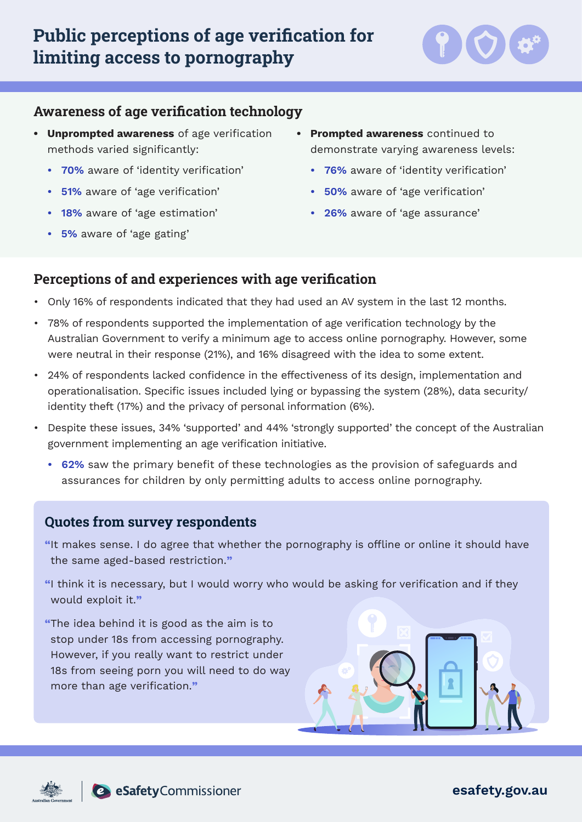

### **Awareness of age verification technology**

- **• Unprompted awareness** of age verification methods varied significantly:
	- **• 70%** aware of 'identity verification'
	- **• 51%** aware of 'age verification'
	- **• 18%** aware of 'age estimation'
	- **• 5%** aware of 'age gating'
- **• Prompted awareness** continued to demonstrate varying awareness levels:
	- **• 76%** aware of 'identity verification'
	- **• 50%** aware of 'age verification'
	- **• 26%** aware of 'age assurance'

#### **Perceptions of and experiences with age verification**

- Only 16% of respondents indicated that they had used an AV system in the last 12 months.
- 78% of respondents supported the implementation of age verification technology by the Australian Government to verify a minimum age to access online pornography. However, some were neutral in their response (21%), and 16% disagreed with the idea to some extent.
- 24% of respondents lacked confidence in the effectiveness of its design, implementation and operationalisation. Specific issues included lying or bypassing the system (28%), data security/ identity theft (17%) and the privacy of personal information (6%).
- Despite these issues, 34% 'supported' and 44% 'strongly supported' the concept of the Australian government implementing an age verification initiative.
	- **• 62%** saw the primary benefit of these technologies as the provision of safeguards and assurances for children by only permitting adults to access online pornography.

#### **Quotes from survey respondents**

**"**It makes sense. I do agree that whether the pornography is offline or online it should have the same aged-based restriction.**"**

**"**I think it is necessary, but I would worry who would be asking for verification and if they would exploit it.**"**

**"**The idea behind it is good as the aim is to stop under 18s from accessing pornography. However, if you really want to restrict under 18s from seeing porn you will need to do way more than age verification.**"**







**esafety.gov.au**